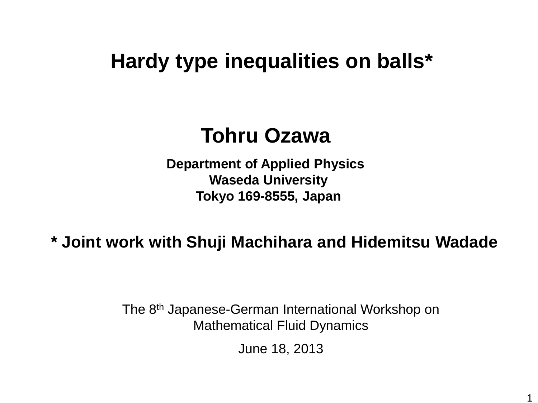# **Hardy type inequalities on balls\***

# **Tohru Ozawa**

**Department of Applied Physics Waseda University Tokyo 169-8555, Japan**

**\* Joint work with Shuji Machihara and Hidemitsu Wadade**

The 8th Japanese-German International Workshop on Mathematical Fluid Dynamics

June 18, 2013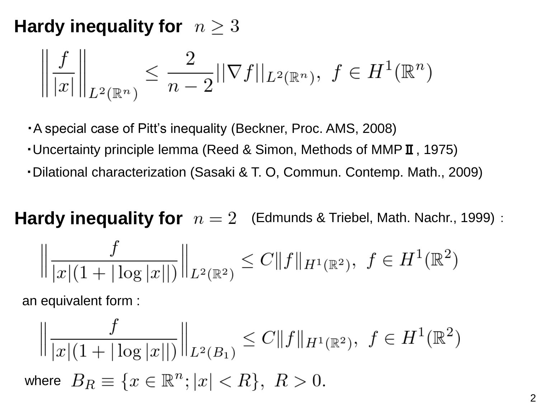### **Hardy inequality for**  $n \geq 3$

$$
\left\| \frac{f}{|x|} \right\|_{L^2(\mathbb{R}^n)} \le \frac{2}{n-2} ||\nabla f||_{L^2(\mathbb{R}^n)}, \ f \in H^1(\mathbb{R}^n)
$$

・A special case of Pitt's inequality (Beckner, Proc. AMS, 2008)

- ・Uncertainty principle lemma (Reed & Simon, Methods of MMPⅡ, 1975)
- ・Dilational characterization (Sasaki & T. O, Commun. Contemp. Math., 2009)

**Hardy inequality for**  $n = 2$  (Edmunds & Triebel, Math. Nachr., 1999) :

$$
\left\|\frac{f}{|x|(1+|\log|x||)}\right\|_{L^2(\mathbb{R}^2)} \leq C \|f\|_{H^1(\mathbb{R}^2)}, \ f \in H^1(\mathbb{R}^2)
$$

an equivalent form :

$$
\left\| \frac{f}{|x|(1+|\log|x||)} \right\|_{L^2(B_1)} \le C \|f\|_{H^1(\mathbb{R}^2)}, \ f \in H^1(\mathbb{R}^2)
$$
  
where  $B_R \equiv \{x \in \mathbb{R}^n; |x| < R\}, \ R > 0.$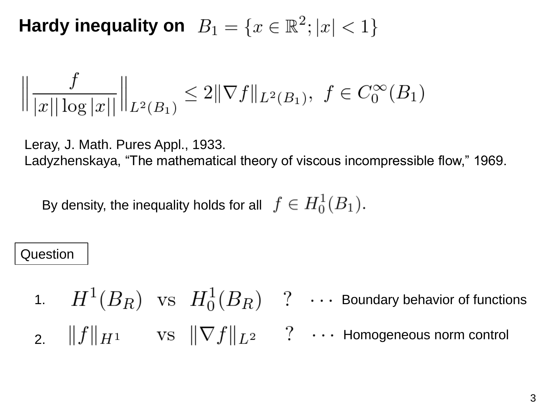**Hardy inequality on**  $B_1 = \{x \in \mathbb{R}^2; |x| < 1\}$ 

$$
\left\|\frac{f}{|x||\log|x||}\right\|_{L^2(B_1)} \le 2\|\nabla f\|_{L^2(B_1)}, \ f \in C_0^{\infty}(B_1)
$$

Leray, J. Math. Pures Appl., 1933.

Ladyzhenskaya, "The mathematical theory of viscous incompressible flow," 1969.

By density, the inequality holds for all  $f \in H_0^1(B_1)$ .

#### Question

1.  $H^{\perp}(B_R)$  vs  $H_0^{\perp}(B_R)$  ?  $\cdots$  Boundary behavior of functions 2. Homogeneous norm control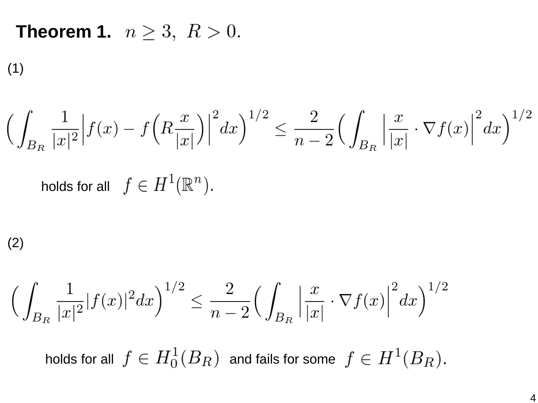**Theorem 1.**  $n \ge 3, R > 0$ .

(1)

$$
\Big(\int_{B_R} \frac{1}{|x|^2} \Big| f(x) - f\Big(R\frac{x}{|x|}\Big)\Big|^2 dx\Big)^{1/2} \le \frac{2}{n-2} \Big(\int_{B_R} \Big|\frac{x}{|x|} \cdot \nabla f(x)\Big|^2 dx\Big)^{1/2}
$$

holds for all  $f \in H^1(\mathbb{R}^n)$ .

(2)

$$
\Big(\int_{B_R} \frac{1}{|x|^2} |f(x)|^2 dx\Big)^{1/2} \le \frac{2}{n-2} \Big(\int_{B_R} \Big|\frac{x}{|x|} \cdot \nabla f(x)\Big|^2 dx\Big)^{1/2}
$$

holds for all  $f \in H_0^1(B_R)$  and fails for some  $f \in H^1(B_R)$ .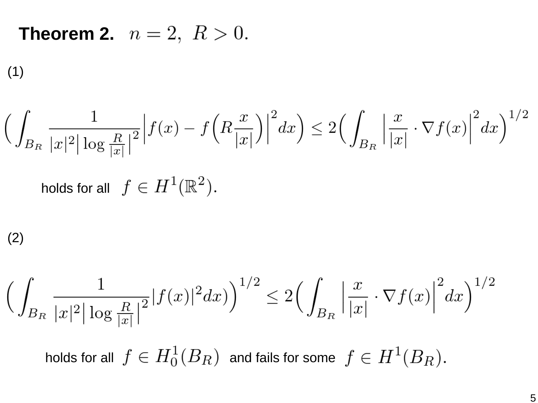## **Theorem 2.**  $n = 2, R > 0$ .

(1)

$$
\left(\int_{B_R} \frac{1}{|x|^2 |\log \frac{R}{|x|}|^2} \Big| f(x) - f\left(R\frac{x}{|x|}\right) \Big|^2 dx\right) \le 2\left(\int_{B_R} \left|\frac{x}{|x|} \cdot \nabla f(x)\right|^2 dx\right)^{1/2}
$$
  
holds for all  $f \in H^1(\mathbb{R}^2)$ .

$$
(2)
$$

$$
\Big(\int_{B_R} \frac{1}{|x|^2 |\log \frac{R}{|x|}|^2} |f(x)|^2 dx)\Big)^{1/2} \le 2 \Big(\int_{B_R} \Big|\frac{x}{|x|} \cdot \nabla f(x)\Big|^2 dx\Big)^{1/2}
$$

holds for all  $f \in H_0^1(B_R)$  and fails for some  $f \in H^1(B_R)$ .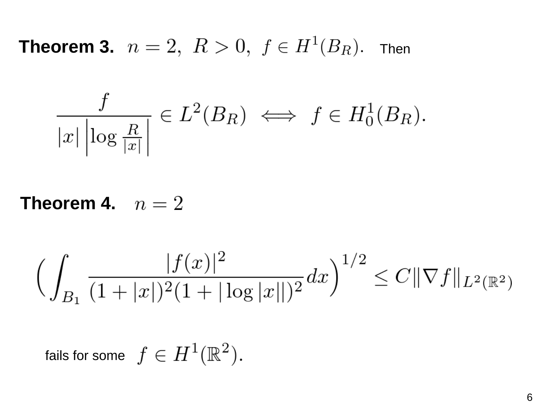**Theorem 3.**  $n=2,~R>0,~f\in H^1(B_R).$  Then

$$
\frac{f}{|x|\left|\log\frac{R}{|x|}\right|}\in L^2(B_R)\iff f\in H_0^1(B_R).
$$

**Theorem 4.**  $n=2$ 

$$
\Big(\int_{B_1} \frac{|f(x)|^2}{(1+|x|)^2(1+|\log |x||)^2} dx\Big)^{1/2} \leq C\|\nabla f\|_{L^2(\mathbb{R}^2)}
$$

fails for some  $f \in H^1(\mathbb{R}^2)$ .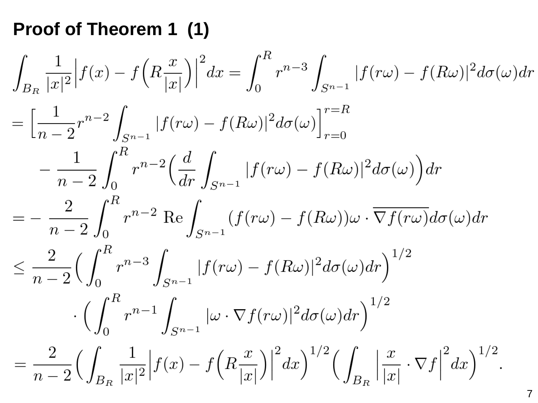### **Proof of Theorem 1 (1)**

$$
\int_{B_R} \frac{1}{|x|^2} |f(x) - f(R\frac{x}{|x|})|^2 dx = \int_0^R r^{n-3} \int_{S^{n-1}} |f(r\omega) - f(R\omega)|^2 d\sigma(\omega) dr \n= \left[ \frac{1}{n-2} r^{n-2} \int_{S^{n-1}} |f(r\omega) - f(R\omega)|^2 d\sigma(\omega) \right]_{r=0}^{r=R} \n- \frac{1}{n-2} \int_0^R r^{n-2} \left( \frac{d}{dr} \int_{S^{n-1}} |f(r\omega) - f(R\omega)|^2 d\sigma(\omega) \right) dr \n= - \frac{2}{n-2} \int_0^R r^{n-2} \text{Re} \int_{S^{n-1}} (f(r\omega) - f(R\omega)) \omega \cdot \overline{\nabla f(r\omega)} d\sigma(\omega) dr \n\leq \frac{2}{n-2} \left( \int_0^R r^{n-3} \int_{S^{n-1}} |f(r\omega) - f(R\omega)|^2 d\sigma(\omega) dr \right)^{1/2} \n\cdot \left( \int_0^R r^{n-1} \int_{S^{n-1}} |\omega \cdot \nabla f(r\omega)|^2 d\sigma(\omega) dr \right)^{1/2} \n= \frac{2}{n-2} \left( \int_{B_R} \frac{1}{|x|^2} |f(x) - f(R\frac{x}{|x|})|^2 dx \right)^{1/2} \left( \int_{B_R} \left| \frac{x}{|x|} \cdot \nabla f \right|^2 dx \right)^{1/2}.
$$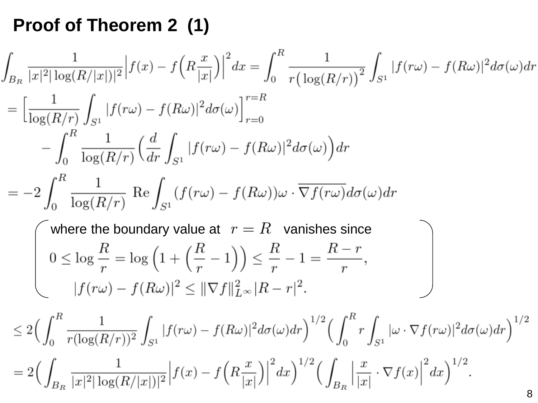# **Proof of Theorem 2 (1)**

$$
\int_{B_R} \frac{1}{|x|^2 |\log(R/|x|)|^2} |f(x) - f(R\frac{x}{|x|})|^2 dx = \int_0^R \frac{1}{r (\log(R/r))^2} \int_{S^1} |f(r\omega) - f(R\omega)|^2 d\sigma(\omega) dr
$$
\n
$$
= \left[ \frac{1}{\log(R/r)} \int_{S^1} |f(r\omega) - f(R\omega)|^2 d\sigma(\omega) \right]_{r=0}^{r=R}
$$
\n
$$
- \int_0^R \frac{1}{\log(R/r)} \left( \frac{d}{dr} \int_{S^1} |f(r\omega) - f(R\omega)|^2 d\sigma(\omega) \right) dr
$$
\n
$$
= -2 \int_0^R \frac{1}{\log(R/r)} \operatorname{Re} \int_{S^1} (f(r\omega) - f(R\omega)) \omega \cdot \overline{\nabla f(r\omega)} d\sigma(\omega) dr
$$
\nwhere the boundary value at  $r = R$  vanishes since\n
$$
0 \le \log \frac{R}{r} = \log \left( 1 + \left( \frac{R}{r} - 1 \right) \right) \le \frac{R}{r} - 1 = \frac{R - r}{r},
$$
\n
$$
|f(r\omega) - f(R\omega)|^2 \le ||\nabla f||_{L^\infty}^2 |R - r|^2.
$$
\n
$$
\le 2 \Big( \int_0^R \frac{1}{r (\log(R/r))^2} \int_{S^1} |f(r\omega) - f(R\omega)|^2 d\sigma(\omega) dr \Big)^{1/2} \Big( \int_0^R r \int_{S^1} |\omega \cdot \nabla f(r\omega)|^2 d\sigma(\omega) dr \Big)^{1/2}
$$
\n
$$
= 2 \Big( \int_{B_R} \frac{1}{|x|^2 |\log(R/|x|)|^2} |f(x) - f(R\frac{x}{|x|})|^2 dx \Big)^{1/2} \Big( \int_{B_R} \left| \frac{x}{|x|} \cdot \nabla f(x) \right|^2 dx \Big)^{1/2}.
$$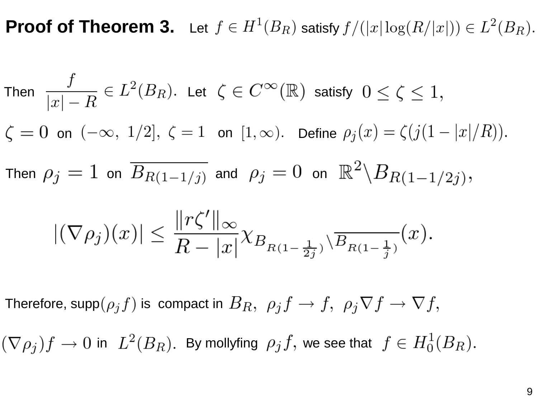**Proof of Theorem 3.** Let  $f \in H^1(B_R)$  satisfy  $f/(|x| \log(R/|x|)) \in L^2(B_R)$ .

Then 
$$
\frac{f}{|x|-R} \in L^2(B_R)
$$
. Let  $\zeta \in C^{\infty}(\mathbb{R})$  satisfy  $0 \le \zeta \le 1$ ,  
\n $\zeta = 0$  on  $(-\infty, 1/2]$ ,  $\zeta = 1$  on  $[1, \infty)$ . Define  $\rho_j(x) = \zeta(j(1-|x|/R))$ .  
\nThen  $\rho_j = 1$  on  $\overline{B_{R(1-1/j)}}$  and  $\rho_j = 0$  on  $\mathbb{R}^2 \setminus B_{R(1-1/2j)}$ ,  
\n
$$
|(\nabla \rho_j)(x)| \le \frac{||r\zeta'||_{\infty}}{R - |x|} \chi_{B_{R(1-\frac{1}{2j})}} \sqrt{B_{R(1-\frac{1}{j})}}(x).
$$

Therefore, supp $(\rho_j f)$  is compact in  $B_R$ ,  $\rho_j f \to f$ ,  $\rho_j \nabla f \to \nabla f$ ,

 $i(\nabla \rho_i)f \to 0$  in  $L^2(B_R)$ . By mollyfing  $\rho_j f$ , we see that  $f \in H_0^1(B_R)$ .